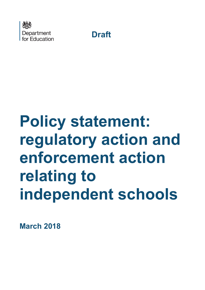



# **Policy statement: regulatory action and enforcement action relating to independent schools**

**March 2018**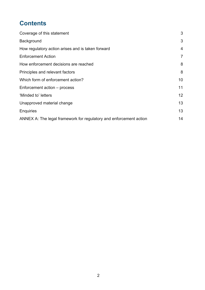# **Contents**

| Coverage of this statement                                         | 3               |
|--------------------------------------------------------------------|-----------------|
| Background                                                         | 3               |
| How regulatory action arises and is taken forward                  | 4               |
| <b>Enforcement Action</b>                                          | $\overline{7}$  |
| How enforcement decisions are reached                              | 8               |
| Principles and relevant factors                                    | 8               |
| Which form of enforcement action?                                  | 10              |
| Enforcement action – process                                       | 11              |
| 'Minded to' letters                                                | 12 <sup>°</sup> |
| Unapproved material change                                         | 13              |
| <b>Enquiries</b>                                                   | 13              |
| ANNEX A: The legal framework for regulatory and enforcement action | 14              |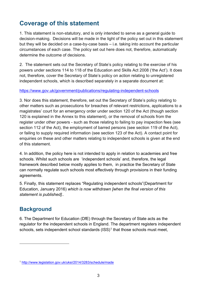# <span id="page-2-0"></span>**Coverage of this statement**

1. This statement is non-statutory, and is only intended to serve as a general guide to decision-making. Decisions will be made in the light of the policy set out in this statement but they will be decided on a case-by-case basis – i.e. taking into account the particular circumstances of each case. The policy set out here does not, therefore, automatically determine the outcome of decisions.

2. The statement sets out the Secretary of State's policy relating to the exercise of his powers under sections 114 to 118 of the Education and Skills Act 2008 ('the Act'). It does not, therefore, cover the Secretary of State's policy on action relating to unregistered independent schools, which is described separately in a separate document at:

#### <https://www.gov.uk/government/publications/regulating-independent-schools>

3. Nor does this statement, therefore, set out the Secretary of State's policy relating to other matters such as prosecutions for breaches of relevant restrictions, applications to a magistrates' court for an emergency order under section 120 of the Act (though section 120 is explained in the Annex to this statement), or the removal of schools from the register under other powers - such as those relating to failing to pay inspection fees (see section 112 of the Act), the employment of barred persons (see section 119 of the Act), or failing to supply required information (see section 123 of the Act). A contact point for enquiries on these and other matters relating to independent schools is given at the end of this statement.

4. In addition, the policy here is not intended to apply in relation to academies and free schools. Whilst such schools are 'independent schools' and, therefore, the legal framework described below mostly applies to them, in practice the Secretary of State can normally regulate such schools most effectively through provisions in their funding agreements.

5. Finally, this statement replaces "Regulating independent schools"(Department for Education, January 2016) *which is now withdrawn [when the final version of this statement is published]..*

## <span id="page-2-1"></span>**Background**

 $\overline{a}$ 

6. The Department for Education (DfE) through the Secretary of State acts as the regulator for the independent schools in England. The department registers independent schools, sets independent school standards  $(ISS)^1$  $(ISS)^1$  that those schools must meet,

<span id="page-2-2"></span><sup>1</sup> <http://www.legislation.gov.uk/uksi/2014/3283/schedule/made>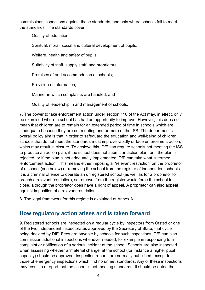commissions inspections against those standards, and acts where schools fail to meet the standards. The standards cover:

Quality of education;

Spiritual, moral, social and cultural development of pupils;

Welfare, health and safety of pupils;

Suitability of staff, supply staff, and proprietors;

Premises of and accommodation at schools;

Provision of information;

Manner in which complaints are handled; and

Quality of leadership in and management of schools.

7. The power to take enforcement action under section 116 of the Act may, in effect, only be exercised where a school has had an opportunity to improve. However, this does not mean that children are to remain for an extended period of time in schools which are inadequate because they are not meeting one or more of the ISS. The department's overall policy aim is that in order to safeguard the education and well-being of children, schools that do not meet the standards must improve rapidly or face enforcement action, which may result in closure. To achieve this, DfE can require schools not meeting the ISS to produce an action plan; if the school does not submit an action plan, or if the plan is rejected, or if the plan is not adequately implemented, DfE can take what is termed 'enforcement action'. This means either imposing a 'relevant restriction' on the proprietor of a school (see below) or removing the school from the register of independent schools. It is a criminal offence to operate an unregistered school (as well as for a proprietor to breach a relevant restriction), so removal from the register would force the school to close, although the proprietor does have a right of appeal. A proprietor can also appeal against imposition of a relevant restriction.

8. The legal framework for this regime is explained at Annex A.

### <span id="page-3-0"></span>**How regulatory action arises and is taken forward**

9. Registered schools are inspected on a regular cycle by inspectors from Ofsted or one of the two independent inspectorates approved by the Secretary of State, that cycle being decided by DfE. Fees are payable by schools for such inspections. DfE can also commission additional inspections whenever needed, for example in responding to a complaint or notification of a serious incident at the school. Schools are also inspected when assessing whether a 'material change' at the school (for instance a higher pupil capacity) should be approved. Inspection reports are normally published, except for those of emergency inspections which find no unmet standards. Any of these inspections may result in a report that the school is not meeting standards. It should be noted that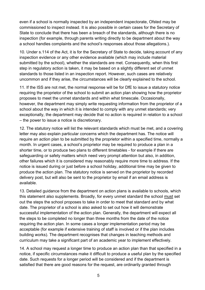even if a school is normally inspected by an independent inspectorate, Ofsted may be commissioned to inspect instead. It is also possible in certain cases for the Secretary of State to conclude that there has been a breach of the standards, although there is no inspection (for example, through parents writing directly to be department about the way a school handles complaints and the school's responses about those allegations.).

10. Under s.114 of the Act, it is for the Secretary of State to decide, taking account of any inspection evidence or any other evidence available (which may include material submitted by the school), whether the standards are met. Consequently, when this first step in regulatory action is taken, it may be based on a slightly different set of unmet standards to those listed in an inspection report. However, such cases are relatively uncommon and if they arise, the circumstances will be clearly explained to the school.

11. If the ISS are not met, the normal response will be for DfE to issue a statutory notice requiring the proprietor of the school to submit an action plan showing how the proprietor proposes to meet the unmet standards and within what timescale. Occasionally, however, the department may simply write requesting information from the proprietor of a school about the way in which it is intended to comply with any unmet standards; very exceptionally, the department may decide that no action is required in relation to a school – the power to issue a notice is discretionary.

12. The statutory notice will list the relevant standards which must be met, and a covering letter may also explain particular concerns which the department has. The notice will require an action plan to be submitted by the proprietor within a specified time, normally a month. In urgent cases, a school's proprietor may be required to produce a plan in a shorter time, or to produce two plans to different timetables - for example if there are safeguarding or safety matters which need very prompt attention but also, in addition, other failures which it is considered may reasonably require more time to address. If the notice is issued during or just before a school holiday, additional time may be given to produce the action plan. The statutory notice is served on the proprietor by recorded delivery post, but will also be sent to the proprietor by email if an email address is available.

13. Detailed guidance from the department on action plans is available to schools, which this statement also supplements. Broadly, for every unmet standard the school must set out the steps the school proposes to take in order to meet that standard and by what date. The proprietor of a school is also asked to set out how it will demonstrate successful implementation of the action plan. Generally, the department will expect all the steps to be completed no longer than three months from the date of the notice requiring the action plan. In some cases a longer implementation period may be acceptable (for example if extensive training of staff is involved or if the plan includes building works). The department recognises that changes in teaching methods and curriculum may take a significant part of an academic year to implement effectively.

14. A school may request a longer time to produce an action plan than that specified in a notice, if specific circumstances make it difficult to produce a useful plan by the specified date. Such requests for a longer period will be considered and if the department is satisfied that there are good reasons for the request, are ordinarily granted through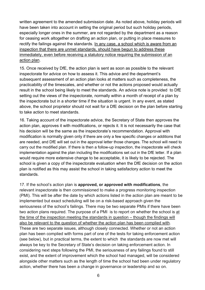written agreement to the amended submission date. As noted above, holiday periods will have been taken into account in setting the original period but such holiday periods, especially longer ones in the summer, are not regarded by the department as a reason for ceasing work altogether on drafting an action plan, or putting in place measures to rectify the failings against the standards. In any case, a school which is aware from an inspection that there are unmet standards, should have begun to address these immediately, even before receiving a statutory notice requiring the submission of an action plan.

15. Once received by DfE, the action plan is sent as soon as possible to the relevant inspectorate for advice on how to assess it. This advice and the department's subsequent assessment of an action plan looks at matters such as completeness, the practicability of the timescales, and whether or not the actions proposed would actually result in the school being likely to meet the standards. An advice note is provided to DfE setting out the views of the inspectorate, normally within a month of receipt of a plan by the inspectorate but in a shorter time if the situation is urgent. In any event, as stated above, the school proprietor should not wait for a DfE decision on the plan before starting to take action to meet standards.

16. Taking account of the inspectorate advice, the Secretary of State then approves the action plan, approves it with modifications, or rejects it. It is not necessarily the case that his decision will be the same as the inspectorate's recommendation. Approval with modification is normally given only if there are only a few specific changes or additions that are needed, and DfE will set out in the approval letter those changes. The school will need to carry out the modified plan. If there is then a follow-up inspection, the inspectorate will check implementation against the plan including the modifications set out in the DfE letter. If a plan would require more extensive change to be acceptable, it is likely to be rejected. The school is given a copy of the inspectorate evaluation when the DfE decision on the action plan is notified as this may assist the school in taking satisfactory action to meet the standards.

17. If the school's action plan is **approved, or approved with modifications**, the relevant inspectorate is then commissioned to make a progress monitoring inspection (PMI). This will be after the date by which actions listed in the action plan are meant to be implemented but exact scheduling will be on a risk-based approach given the seriousness of the school's failings. There may be two separate PMIs if there have been two action plans required. The purpose of a PMI is to report on whether the school is at the time of the inspection meeting the standards in question – though the findings will also be relevant to the question of whether the action plan has been complied with. These are two separate issues, although closely connected. Whether or not an action plan has been complied with forms part of one of the tests for taking enforcement action (see below), but in practical terms, the extent to which the standards are now met will always be key to the Secretary of State's decision on taking enforcement action. In considering next steps following the PMI, the seriousness of any failings found to still exist, and the extent of improvement which the school had managed, will be considered alongside other matters such as the length of time the school had been under regulatory action, whether there has been a change in governance or leadership and so on.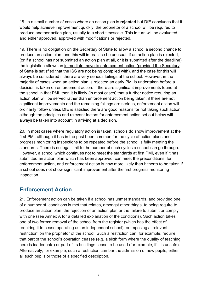18. In a small number of cases where an action plan is **rejected** but DfE concludes that it would help achieve improvement quickly, the proprietor of a school will be required to produce another action plan, usually to a short timescale. This in turn will be evaluated and either approved, approved with modifications or rejected.

19. There is no obligation on the Secretary of State to allow a school a second chance to produce an action plan, and this will in practice be unusual. If an action plan is rejected, (or if a school has not submitted an action plan at all, or it is submitted after the deadline) the legislation allows an immediate move to enforcement action (provided the Secretary of State is satisfied that the ISS are not being complied with), and the case for this will always be considered if there are very serious failings at the school. However, in the majority of cases when an action plan is rejected an early PMI is undertaken before a decision is taken on enforcement action. If there are significant improvements found at the school in that PMI, then it is likely (in most cases) that a further notice requiring an action plan will be served rather than enforcement action being taken; if there are not significant improvements and the remaining failings are serious, enforcement action will ordinarily follow unless DfE is satisfied there are good reasons for not taking such action, although the principles and relevant factors for enforcement action set out below will always be taken into account in arriving at a decision.

20. In most cases where regulatory action is taken, schools do show improvement at the first PMI, although it has in the past been common for the cycle of action plans and progress monitoring inspections to be repeated before the school is fully meeting the standards. There is no legal limit to the number of such cycles a school can go through. However, a school which continues not to meet the standards at first PMI, even if it has submitted an action plan which has been approved, can meet the preconditions for enforcement action, and enforcement action is now more likely than hitherto to be taken if a school does not show significant improvement after the first progress monitoring inspection.

### <span id="page-6-0"></span>**Enforcement Action**

21. Enforcement action can be taken if a school has unmet standards, and provided one of a number of conditions is met that relates, amongst other things, to being require to produce an action plan, the rejection of an action plan or the failure to submit or comply with one (see Annex A for a detailed explanation of the conditions). Such action takes one of two forms: removal of the school from the register (which has the effect of requiring it to cease operating as an independent school); or imposing a 'relevant restriction' on the proprietor of the school. Such a restriction can, for example, require that part of the school's operation ceases (e.g. a sixth form where the quality of teaching here is inadequate) or part of its buildings cease to be used (for example, if it is unsafe). Alternatively, for example, such a restriction can bar the admission of new pupils, either all such pupils or those of a specified description.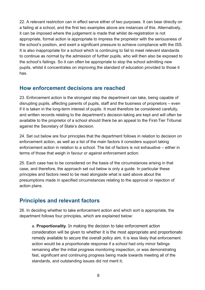22. A relevant restriction can in effect serve either of two purposes. It can bear directly on a failing at a school, and the first two examples above are instances of this. Alternatively, it can be imposed where the judgement is made that whilst de-registration is not appropriate, formal action is appropriate to impress the proprietor with the seriousness of the school's position, and exert a significant pressure to achieve compliance with the ISS. It is also inappropriate for a school which is continuing to fail to meet relevant standards to continue as normal by the admission of further pupils, who will then also be exposed to the school's failings. So it can often be appropriate to stop the school admitting new pupils, whilst it concentrates on improving the standard of education provided to those it has.

#### <span id="page-7-0"></span>**How enforcement decisions are reached**

23. Enforcement action is the strongest step the department can take, being capable of disrupting pupils, affecting parents of pupils, staff and the business of proprietors – even if it is taken in the long-term interest of pupils. It must therefore be considered carefully, and written records relating to the department's decision-taking are kept and will often be available to the proprietor of a school should there be an appeal to the First-Tier Tribunal against the Secretary of State's decision.

24. Set out below are four principles that the department follows in relation to decision on enforcement action, as well as a list of the main factors it considers support taking enforcement action in relation to a school. The list of factors is not exhaustive – either in terms of those that weigh in favour or against enforcement action.

25. Each case has to be considered on the basis of the circumstances arising in that case, and therefore, the approach set out below is only a guide. In particular these principles and factors need to be read alongside what is said above about the presumptions made in specified circumstances relating to the approval or rejection of action plans.

## <span id="page-7-1"></span>**Principles and relevant factors**

26. In deciding whether to take enforcement action and which sort is appropriate, the department follows four principles, which are explained below:

a. **Proportionality**. In making the decision to take enforcement action consideration will be given to whether it is the most appropriate and proportionate remedy available to secure the overall policy aim. It is less likely that enforcement action would be a proportionate response if a school had only minor failings remaining after the initial progress monitoring inspection, or was demonstrating fast, significant and continuing progress being made towards meeting all of the standards, and outstanding issues did not merit it;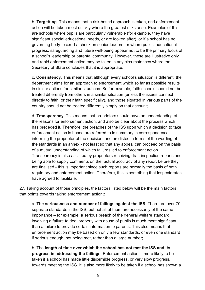b. **Targetting**. This means that a risk-based approach is taken, and enforcement action will be taken most quickly where the greatest risks arise. Examples of this are schools where pupils are particularly vulnerable (for example, they have significant special educational needs, or are looked after), or if a school has no governing body to exert a check on senior leaders, or where pupils' educational progress, safeguarding and future well-being appear not to be the primary focus of a school's leadership or parental community. However, these are illustrative only and rapid enforcement action may be taken in any circumstances where the Secretary of State concludes that it is appropriate;

c. **Consistency**. This means that although every school's situation is different, the department aims for an approach to enforcement which so far as possible results in similar actions for similar situations. So for example, faith schools should not be treated differently from others in a similar situation (unless the issues connect directly to faith, or their faith specifically), and those situated in various parts of the country should not be treated differently simply on that account;

d. **Transparency**. This means that proprietors should have an understanding of the reasons for enforcement action, and also be clear about the process which has preceded it. Therefore, the breaches of the ISS upon which a decision to take enforcement action is based are referred to in summary in correspondence informing the proprietor of the decision, and are listed in terms of the wording of the standards in an annex - not least so that any appeal can proceed on the basis of a mutual understanding of which failures led to enforcement action. Transparency is also assisted by proprietors receiving draft inspection reports and being able to supply comments on the factual accuracy of any report before they are finalised - this is important since such reports are normally the basis of both regulatory and enforcement action. Therefore, this is something that inspectorates have agreed to facilitate.

27. Taking account of those principles, the factors listed below will be the main factors that points towards taking enforcement action;:

a. **The seriousness and number of failings against the ISS**. There are over 70 separate standards in the ISS, but not all of them are necessarily of the same importance – for example, a serious breach of the general welfare standard involving a failure to deal properly with abuse of pupils is much more significant than a failure to provide certain information to parents. This also means that enforcement action may be based on only a few standards, or even one standard if serious enough, not being met, rather than a large number;

b. The **length of time over which the school has not met the ISS and its progress in addressing the failings**. Enforcement action is more likely to be taken if a school has made little discernible progress, or very slow progress, towards meeting the ISS. It is also more likely to be taken if a school has shown a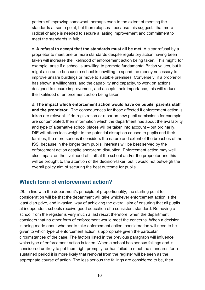pattern of improving somewhat, perhaps even to the extent of meeting the standards at some point, but then relapses - because this suggests that more radical change is needed to secure a lasting improvement and commitment to meet the standards in full;

c. **A refusal to accept that the standards must all be met**. A clear refusal by a proprietor to meet one or more standards despite regulatory action having been taken will increase the likelihood of enforcement action being taken. This might, for example, arise if a school is unwilling to promote fundamental British values, but it might also arise because a school is unwilling to spend the money necessary to improve unsafe buildings or move to suitable premises. Conversely, if a proprietor has shown a willingness, and the capability and capacity, to work on actions designed to secure improvement, and accepts their importance, this will reduce the likelihood of enforcement action being taken;

d. **The impact which enforcement action would have on pupils, parents staff and the proprietor.** The consequences for those affected if enforcement action is taken are relevant. If de-registration or a bar on new pupil admissions for example, are contemplated, then information which the department has about the availability and type of alternative school places will be taken into account – but ordinarily, DfE will attach less weight to the potential disruption caused to pupils and their families, the more serious it considers the nature and extent of the breaches of the ISS, because in the longer term pupils' interests will be best served by the enforcement action despite short-term disruption. Enforcement action may well also impact on the livelihood of staff at the school and/or the proprietor and this will be brought to the attention of the decision-taker; but it would not outweigh the overall policy aim of securing the best outcome for pupils.

### <span id="page-9-0"></span>**Which form of enforcement action?**

28. In line with the department's principle of proportionality, the starting point for consideration will be that the department will take whichever enforcement action is the least disruptive, and invasive, way of achieving the overall aim of ensuring that all pupils at independent schools receive good education of a consistent standard. Removing a school from the register is very much a last resort therefore, when the department considers that no other form of enforcement would meet the concerns. When a decision is being made about whether to take enforcement action, consideration will need to be given to which type of enforcement action is appropriate given the particular circumstances of the case. The factors listed in the previous paragraph will influence which type of enforcement action is taken. When a school has serious failings and is considered unlikely to put them right promptly, or has failed to meet the standards for a sustained period it is more likely that removal from the register will be seen as the appropriate course of action. The less serious the failings are considered to be, then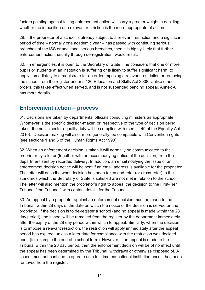factors pointing against taking enforcement action will carry a greater weight in deciding whether the imposition of a relevant restriction is the more appropriate of action.

29. If the proprietor of a school is already subject to a relevant restriction and a significant period of time – normally one academic year – has passed with continuing serious breaches of the ISS or additional serious breaches, then it is highly likely that further enforcement action, usually through de-registration, would result.

30. In emergencies, it is open to the Secretary of State if he considers that one or more pupils or students at an institution is suffering or is likely to suffer significant harm, to apply immediately to a magistrate for an order imposing a relevant restriction or removing the school from the register under s.120 Education and Skills Act 2008. Unlike other orders, this takes effect when served, and is not suspended pending appeal. Annex A has more details.

#### <span id="page-10-0"></span>**Enforcement action – process**

31. Decisions are taken by departmental officials consulting ministers as appropriate. Whomever is the specific decision-maker, or irrespective of the type of decision being taken, the public sector equality duty will be complied with (see s.149 of the Equality Act 2010). Decision-making will also, more generally, be compatible with Convention rights (see sections 1 and 6 of the Human Rights Act 1998).

32. When an enforcement decision is taken it will normally be communicated to the proprietor by a letter (together with an accompanying notice of the decision) from the department sent by recorded delivery. In addition, an email notifying the issue of an enforcement decision notice will be sent if an email address is available for the proprietor. The letter will describe what decision has been taken and refer (or cross-refer) to the standards which the Secretary of State is satisfied are not met in relation to the school. The letter will also mention the proprietor's right to appeal the decision to the First-Tier Tribunal ['the Tribunal'] with contact details for the Tribunal.

33. An appeal by a proprietor against an enforcement decision must be made to the Tribunal, within 28 days of the date on which the notice of the decision is served on the proprietor. If the decision is to de-register a school (and no appeal is made within the 28 day period), the school will be removed from the register by the department immediately after the expiry of the 28 day period within which to appeal. Similarly, when the decision is to impose a relevant restriction, the restriction will apply immediately after the appeal period has expired, unless a later date for compliance with the restriction was decided upon (for example the end of a school term). However, if an appeal is made to the Tribunal within the 28 day period, then the enforcement decision will be of no effect until the appeal has been determined by the Tribunal, withdrawn or otherwise disposed of. A school must not continue to operate as a full-time educational institution once it has been removed from the register.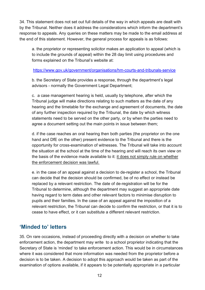34. This statement does not set out full details of the way in which appeals are dealt with by the Tribunal. Neither does it address the considerations which inform the department's response to appeals. Any queries on these matters may be made to the email address at the end of this statement. However, the general process for appeals is as follows:

a. the proprietor or representing solicitor makes an application to appeal (which is to include the grounds of appeal) within the 28 day limit using procedures and forms explained on the Tribunal's website at:

<https://www.gov.uk/government/organisations/hm-courts-and-tribunals-service>

b. the Secretary of State provides a response, through the department's legal advisors - normally the Government Legal Department;

c. a case management hearing is held, usually by telephone, after which the Tribunal judge will make directions relating to such matters as the date of any hearing and the timetable for the exchange and agreement of documents, the date of any further inspection required by the Tribunal, the date by which witness statements need to be served on the other party, or by when the parties need to agree a document setting out the main points in issue between them;

d. if the case reaches an oral hearing then both parties (the proprietor on the one hand and DfE on the other) present evidence to the Tribunal and there is the opportunity for cross-examination of witnesses. The Tribunal will take into account the situation at the school at the time of the hearing and will reach its own view on the basis of the evidence made available to it: it does not simply rule on whether the enforcement decision was lawful.

e. in the case of an appeal against a decision to de-register a school, the Tribunal can decide that the decision should be confirmed, be of no effect or instead be replaced by a relevant restriction. The date of de-registration will be for the Tribunal to determine, although the department may suggest an appropriate date having regard to term dates and other relevant factors to minimise disruption to pupils and their families. In the case of an appeal against the imposition of a relevant restriction, the Tribunal can decide to confirm the restriction, or that it is to cease to have effect, or it can substitute a different relevant restriction.

## <span id="page-11-0"></span>**'Minded to' letters**

35. On rare occasions, instead of proceeding directly with a decision on whether to take enforcement action, the department may write to a school proprietor indicating that the Secretary of State is 'minded' to take enforcement action. This would be in circumstances where it was considered that more information was needed from the proprietor before a decision is to be taken. A decision to adopt this approach would be taken as part of the examination of options available, if it appears to be potentially appropriate in a particular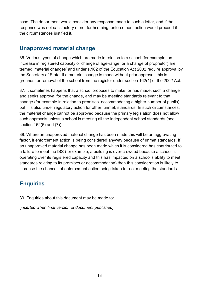case. The department would consider any response made to such a letter, and if the response was not satisfactory or not forthcoming, enforcement action would proceed if the circumstances justified it.

### <span id="page-12-0"></span>**Unapproved material change**

36. Various types of change which are made in relation to a school (for example, an increase in registered capacity or change of age-range, or a change of proprietor) are termed 'material changes' and under s.162 of the Education Act 2002 require approval by the Secretary of State. If a material change is made without prior approval, this is grounds for removal of the school from the register under section 162(1) of the 2002 Act.

37. It sometimes happens that a school proposes to make, or has made, such a change and seeks approval for the change, and may be meeting standards relevant to that change (for example in relation to premises accommodating a higher number of pupils) but it is also under regulatory action for other, unmet, standards. In such circumstances, the material change cannot be approved because the primary legislation does not allow such approvals unless a school is meeting all the independent school standards (see section 162(6) and (7)).

38. Where an unapproved material change has been made this will be an aggravating factor, if enforcement action is being considered anyway because of unmet standards. If an unapproved material change has been made which it is considered has contributed to a failure to meet the ISS (for example, a building is over-crowded because a school is operating over its registered capacity and this has impacted on a school's ability to meet standards relating to its premises or accommodation) then this consideration is likely to increase the chances of enforcement action being taken for not meeting the standards.

### <span id="page-12-1"></span>**Enquiries**

39. Enquiries about this document may be made to:

[*inserted when final version of document published*]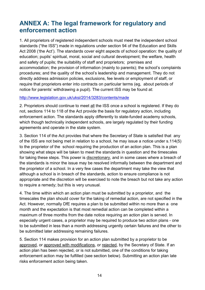# <span id="page-13-0"></span>**ANNEX A: The legal framework for regulatory and enforcement action**

1. All proprietors of registered independent schools must meet the independent school standards ("the ISS") made in regulations under section 94 of the Education and Skills Act 2008 ('the Act'). The standards cover eight aspects of school operation: the quality of education; pupils' spiritual, moral, social and cultural development; the welfare, health and safety of pupils; the suitability of staff and proprietors; premises and accommodation; the provision of information (mainly to parents); the school's complaints procedures; and the quality of the school's leadership and management. They do not directly address admission policies, exclusions, fee levels or employment of staff, or require that proprietors enter into contracts on particular terms (eg, about periods of notice for parents' withdrawing a pupil). The current ISS may be found at:

#### <http://www.legislation.gov.uk/uksi/2014/3283/contents/made>

2. Proprietors should continue to meet all the ISS once a school is registered. If they do not, sections 114 to 118 of the Act provide the basis for regulatory action, including enforcement action. The standards apply differently to state-funded academy schools, which though technically independent schools, are largely regulated by their funding agreements and operate in the state system.

3. Section 114 of the Act provides that where the Secretary of State is satisfied that any of the ISS are not being met in relation to a school, he may issue a notice under s.114(5) to the proprietor of the school requiring the production of an action plan. This is a plan showing what steps will be taken to meet the standards in question and the timescales for taking these steps. This power is discretionary, and in some cases where a breach of the standards is minor the issue may be resolved informally between the department and the proprietor of a school. In a very few cases the department may take the view that although a school is in breach of the standards, action to ensure compliance is not appropriate and the discretion will be exercised to note the breach but not take any action to require a remedy; but this is very unusual.

4. The time within which an action plan must be submitted by a proprietor, and the timescales the plan should cover for the taking of remedial action, are not specified in the Act. However, normally DfE requires a plan to be submitted within no more than a one month and the expectation is that most remedial action can be completed within a maximum of three months from the date notice requiring an action plan is served. In especially urgent cases, a proprietor may be required to produce two action plans - one to be submitted in less than a month addressing urgently certain failures and the other to be submitted later addressing remaining failures.

5. Section 114 makes provision for an action plan submitted by a proprietor to be approved, or approved with modifications, or rejected, by the Secretary of State. If an action plan has been rejected, or is not submitted, one of the conditions for taking enforcement action may be fulfilled (see section below). Submitting an action plan late risks enforcement action being taken.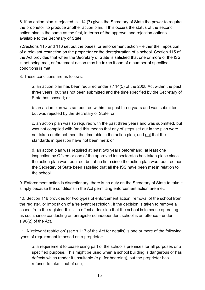6. If an action plan is rejected, s.114 (7) gives the Secretary of State the power to require the proprietor to produce another action plan. If this occurs the status of the second action plan is the same as the first, in terms of the approval and rejection options available to the Secretary of State.

7.Sections 115 and 116 set out the bases for enforcement action – either the imposition of a relevant restriction on the proprietor or the deregistration of a school. Section 115 of the Act provides that when the Secretary of State is satisfied that one or more of the ISS is not being met, enforcement action may be taken if one of a number of specified conditions is met.

8. These conditions are as follows:

a. an action plan has been required under s.114(5) of the 2008 Act within the past three years, but has not been submitted and the time specified by the Secretary of State has passed; or

b. an action plan was so required within the past three years and was submitted but was rejected by the Secretary of State; or

c. an action plan was so required with the past three years and was submitted, but was not complied with (and this means that any of steps set out in the plan were not taken or did not meet the timetable in the action plan, and not that the standards in question have not been met); or

d. an action plan was required at least two years beforehand, at least one inspection by Ofsted or one of the approved inspectorates has taken place since the action plan was required, but at no time since the action plan was required has the Secretary of State been satisfied that all the ISS have been met in relation to the school.

9. Enforcement action is discretionary; there is no duty on the Secretary of State to take it simply because the conditions in the Act permitting enforcement action are met.

10. Section 116 provides for two types of enforcement action: removal of the school from the register, or imposition of a 'relevant restriction'. If the decision is taken to remove a school from the register, this is in effect a decision that the school is to cease operating as such, since conducting an unregistered independent school is an offence - under s.96(2) of the Act.

11. A 'relevant restriction' (see s.117 of the Act for details) is one or more of the following types of requirement imposed on a proprietor:

a. a requirement to cease using part of the school's premises for all purposes or a specified purpose. This might be used when a school building is dangerous or has defects which render it unsuitable (e.g. for boarding), but the proprietor has refused to take it out of use;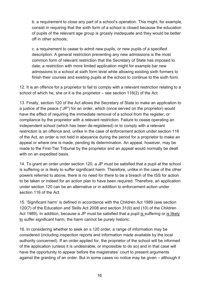b. a requirement to close any part of a school's operation. This might, for example, consist in requiring that the sixth form of a school is closed because the education of pupils of the relevant age group is grossly inadequate and they would be better off in other schools;

c. a requirement to cease to admit new pupils, or new pupils of a specified description. A general restriction preventing any new admissions is the most common form of relevant restriction that the Secretary of State has imposed to date; a restriction with more limited application might for example bar new admissions to a school at sixth form level while allowing existing sixth formers to finish their courses and existing pupils at the school to continue to the sixth form.

12. It is an offence for a proprietor to fail to comply with a relevant restriction relating to a school of which he, she or it is the proprietor – see section 118(2) of the Act.

13. Finally, section 120 of the Act allows the Secretary of State to make an application to a justice of the peace ("JP") for an order, which (once served on the proprietor) would have the effect of requiring the immediate removal of a school from the register, or compliance by the proprietor with a relevant restriction. Failure to cease operating an independent school (which has been de-registered) or to comply with a relevant restriction is an offence and, unlike in the case of enforcement action under section 116 of the Act, an order is not held in abeyance during the period for a proprietor to make an appeal or where one is made, pending its determination. An appeal, however, may be made to the First-Tier Tribunal by the proprietor and an appeal would normally be dealt with on an expedited basis.

14. To grant an order under section 120, a JP must be satisfied that a pupil at the school is suffering or is likely to suffer significant harm. Therefore, unlike in the case of the other powers referred to above, there is no need for there to be a breach of the ISS for action to be taken or indeed for an action plan to have been required. Therefore, an application under section 120 can be an alternative or in addition to enforcement action under section 116 of the Act.

15. 'Significant harm' is defined in accordance with the Children Act 1989 (see section 120(7) of the Education and Skills Act 2008 and section 31(9) and (10) of the Children Act 1989). In addition, because a JP must be satisfied that a pupil is suffering or is likely to suffer significant harm, the harm cannot be purely historic.

16. In considering whether to seek an s.120 order, a range of information may be considered (including inspection reports and information made available by the local authority concerned). If an order applied for, the proprietor of the school will be informed of the application (unless it is undesirable, or impossible to do so) and in that case will have the opportunity to appear before the magistrates' court to present arguments against the granting of an order. But in some cases no notice may be given – although it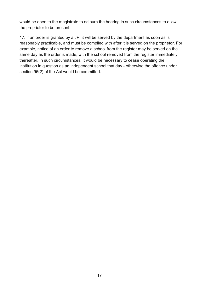would be open to the magistrate to adjourn the hearing in such circumstances to allow the proprietor to be present.

17. If an order is granted by a JP, it will be served by the department as soon as is reasonably practicable, and must be complied with after it is served on the proprietor. For example, notice of an order to remove a school from the register may be served on the same day as the order is made, with the school removed from the register immediately thereafter. In such circumstances, it would be necessary to cease operating the institution in question as an independent school that day - otherwise the offence under section 96(2) of the Act would be committed.